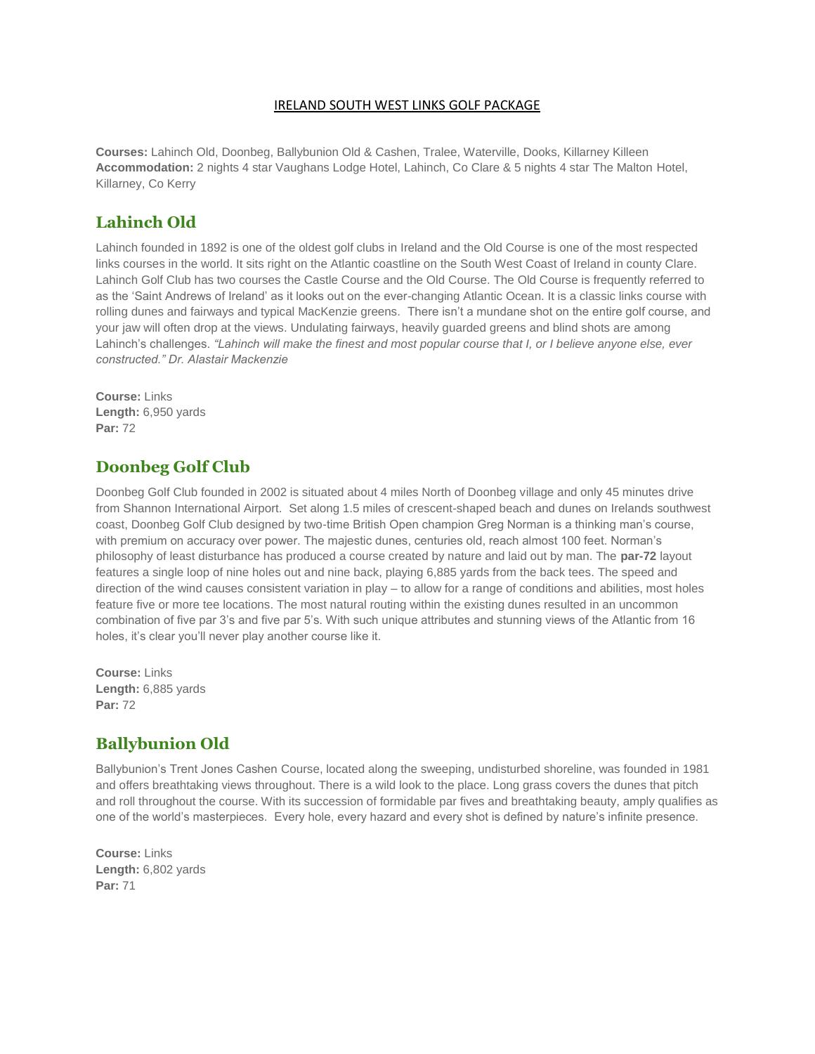#### IRELAND SOUTH WEST LINKS GOLF PACKAGE

**Courses:** Lahinch Old, Doonbeg, Ballybunion Old & Cashen, Tralee, Waterville, Dooks, Killarney Killeen **Accommodation:** 2 nights 4 star Vaughans Lodge Hotel, Lahinch, Co Clare & 5 nights 4 star The Malton Hotel, Killarney, Co Kerry

#### **Lahinch Old**

Lahinch founded in 1892 is one of the oldest golf clubs in Ireland and the Old Course is one of the most respected links courses in the world. It sits right on the Atlantic coastline on the South West Coast of Ireland in county Clare. Lahinch Golf Club has two courses the Castle Course and the Old Course. The Old Course is frequently referred to as the 'Saint Andrews of Ireland' as it looks out on the ever-changing Atlantic Ocean. It is a classic links course with rolling dunes and fairways and typical MacKenzie greens. There isn't a mundane shot on the entire golf course, and your jaw will often drop at the views. Undulating fairways, heavily guarded greens and blind shots are among Lahinch's challenges. *"Lahinch will make the finest and most popular course that I, or I believe anyone else, ever constructed." Dr. Alastair Mackenzie*

**Course:** Links **Length:** 6,950 yards **Par:** 72

#### **Doonbeg Golf Club**

Doonbeg Golf Club founded in 2002 is situated about 4 miles North of Doonbeg village and only 45 minutes drive from Shannon International Airport. Set along 1.5 miles of crescent-shaped beach and dunes on Irelands southwest coast, Doonbeg Golf Club designed by two-time British Open champion Greg Norman is a thinking man's course, with premium on accuracy over power. The majestic dunes, centuries old, reach almost 100 feet. Norman's philosophy of least disturbance has produced a course created by nature and laid out by man. The **par-72** layout features a single loop of nine holes out and nine back, playing 6,885 yards from the back tees. The speed and direction of the wind causes consistent variation in play – to allow for a range of conditions and abilities, most holes feature five or more tee locations. The most natural routing within the existing dunes resulted in an uncommon combination of five par 3's and five par 5's. With such unique attributes and stunning views of the Atlantic from 16 holes, it's clear you'll never play another course like it.

**Course:** Links **Length:** 6,885 yards **Par:** 72

#### **Ballybunion Old**

Ballybunion's Trent Jones Cashen Course, located along the sweeping, undisturbed shoreline, was founded in 1981 and offers breathtaking views throughout. There is a wild look to the place. Long grass covers the dunes that pitch and roll throughout the course. With its succession of formidable par fives and breathtaking beauty, amply qualifies as one of the world's masterpieces. Every hole, every hazard and every shot is defined by nature's infinite presence.

**Course:** Links **Length:** 6,802 yards **Par:** 71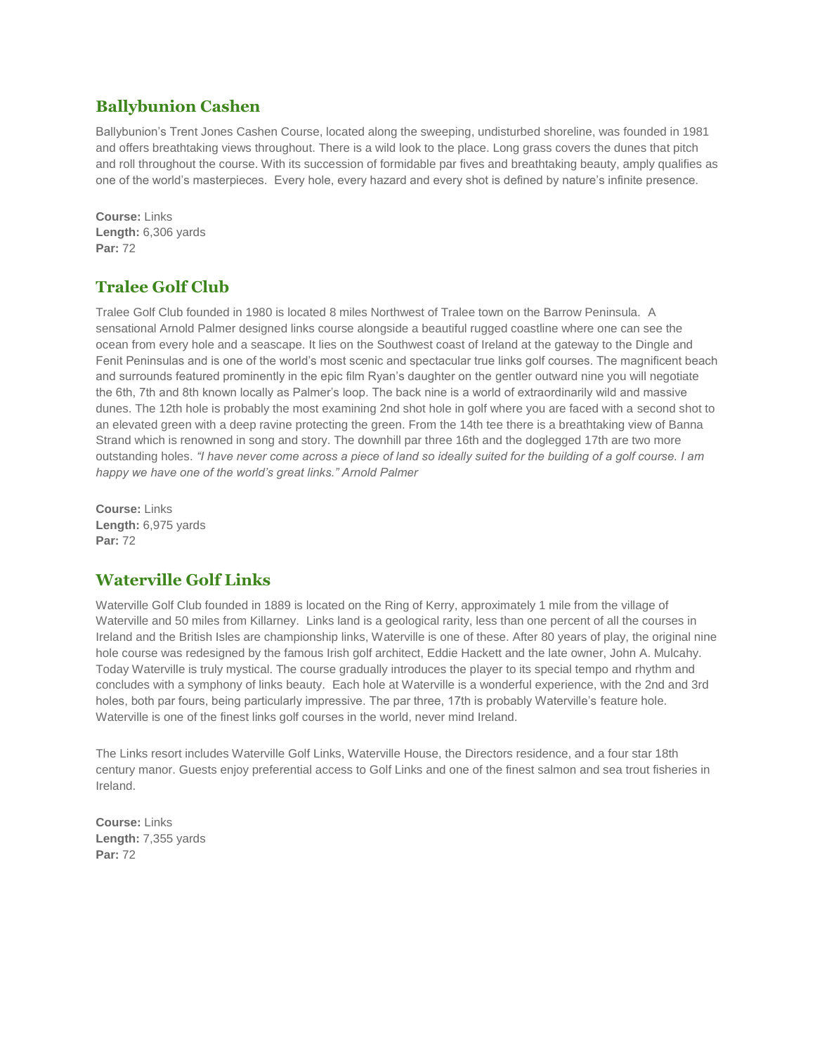#### **Ballybunion Cashen**

Ballybunion's Trent Jones Cashen Course, located along the sweeping, undisturbed shoreline, was founded in 1981 and offers breathtaking views throughout. There is a wild look to the place. Long grass covers the dunes that pitch and roll throughout the course. With its succession of formidable par fives and breathtaking beauty, amply qualifies as one of the world's masterpieces. Every hole, every hazard and every shot is defined by nature's infinite presence.

**Course:** Links **Length:** 6,306 yards **Par:** 72

# **Tralee Golf Club**

Tralee Golf Club founded in 1980 is located 8 miles Northwest of Tralee town on the Barrow Peninsula. A sensational Arnold Palmer designed links course alongside a beautiful rugged coastline where one can see the ocean from every hole and a seascape. It lies on the Southwest coast of Ireland at the gateway to the Dingle and Fenit Peninsulas and is one of the world's most scenic and spectacular true links golf courses. The magnificent beach and surrounds featured prominently in the epic film Ryan's daughter on the gentler outward nine you will negotiate the 6th, 7th and 8th known locally as Palmer's loop. The back nine is a world of extraordinarily wild and massive dunes. The 12th hole is probably the most examining 2nd shot hole in golf where you are faced with a second shot to an elevated green with a deep ravine protecting the green. From the 14th tee there is a breathtaking view of Banna Strand which is renowned in song and story. The downhill par three 16th and the doglegged 17th are two more outstanding holes. *"I have never come across a piece of land so ideally suited for the building of a golf course. I am happy we have one of the world's great links." Arnold Palmer*

**Course:** Links **Length:** 6,975 yards **Par:** 72

## **Waterville Golf Links**

Waterville Golf Club founded in 1889 is located on the Ring of Kerry, approximately 1 mile from the village of Waterville and 50 miles from Killarney. Links land is a geological rarity, less than one percent of all the courses in Ireland and the British Isles are championship links, Waterville is one of these. After 80 years of play, the original nine hole course was redesigned by the famous Irish golf architect, Eddie Hackett and the late owner, John A. Mulcahy. Today Waterville is truly mystical. The course gradually introduces the player to its special tempo and rhythm and concludes with a symphony of links beauty. Each hole at Waterville is a wonderful experience, with the 2nd and 3rd holes, both par fours, being particularly impressive. The par three, 17th is probably Waterville's feature hole. Waterville is one of the finest links golf courses in the world, never mind Ireland.

The Links resort includes Waterville Golf Links, Waterville House, the Directors residence, and a four star 18th century manor. Guests enjoy preferential access to Golf Links and one of the finest salmon and sea trout fisheries in Ireland.

**Course:** Links **Length:** 7,355 yards **Par:** 72